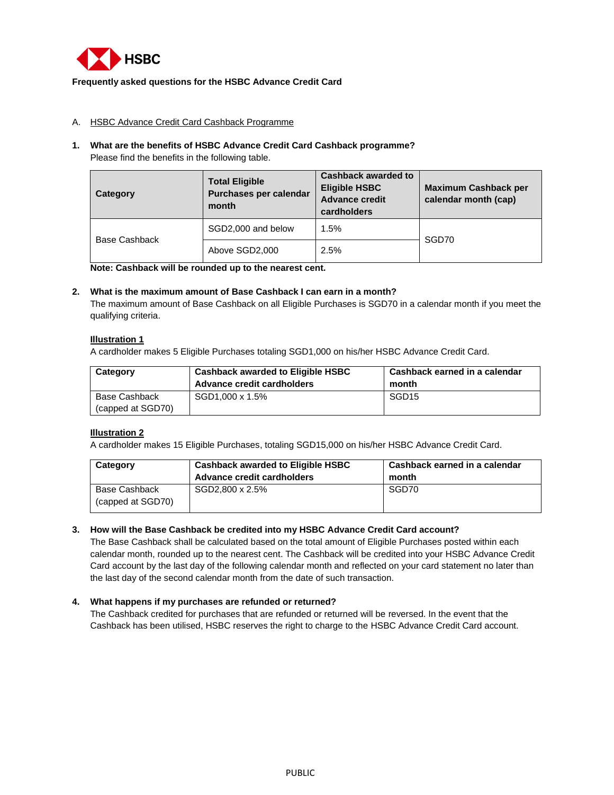

## **Frequently asked questions for the HSBC Advance Credit Card**

## A. HSBC Advance Credit Card Cashback Programme

## **1. What are the benefits of HSBC Advance Credit Card Cashback programme?**  Please find the benefits in the following table.

| Category      | <b>Total Eligible</b><br>Purchases per calendar<br>month | <b>Cashback awarded to</b><br><b>Eligible HSBC</b><br><b>Advance credit</b><br>cardholders | <b>Maximum Cashback per</b><br>calendar month (cap) |
|---------------|----------------------------------------------------------|--------------------------------------------------------------------------------------------|-----------------------------------------------------|
| Base Cashback | SGD2,000 and below                                       | 1.5%                                                                                       | SGD70                                               |
|               | Above SGD2,000                                           | 2.5%                                                                                       |                                                     |

**Note: Cashback will be rounded up to the nearest cent.**

#### **2. What is the maximum amount of Base Cashback I can earn in a month?**

The maximum amount of Base Cashback on all Eligible Purchases is SGD70 in a calendar month if you meet the qualifying criteria.

## **Illustration 1**

A cardholder makes 5 Eligible Purchases totaling SGD1,000 on his/her HSBC Advance Credit Card.

| Category                           | <b>Cashback awarded to Eligible HSBC</b><br>Advance credit cardholders | Cashback earned in a calendar<br>month |
|------------------------------------|------------------------------------------------------------------------|----------------------------------------|
| Base Cashback<br>(capped at SGD70) | SGD1.000 x 1.5%                                                        | SGD <sub>15</sub>                      |

# **Illustration 2**

A cardholder makes 15 Eligible Purchases, totaling SGD15,000 on his/her HSBC Advance Credit Card.

| Category                           | <b>Cashback awarded to Eligible HSBC</b><br>Advance credit cardholders | Cashback earned in a calendar<br>month |
|------------------------------------|------------------------------------------------------------------------|----------------------------------------|
| Base Cashback<br>(capped at SGD70) | SGD2.800 x 2.5%                                                        | SGD70                                  |

#### **3. How will the Base Cashback be credited into my HSBC Advance Credit Card account?**

The Base Cashback shall be calculated based on the total amount of Eligible Purchases posted within each calendar month, rounded up to the nearest cent. The Cashback will be credited into your HSBC Advance Credit Card account by the last day of the following calendar month and reflected on your card statement no later than the last day of the second calendar month from the date of such transaction.

#### **4. What happens if my purchases are refunded or returned?**

The Cashback credited for purchases that are refunded or returned will be reversed. In the event that the Cashback has been utilised, HSBC reserves the right to charge to the HSBC Advance Credit Card account.